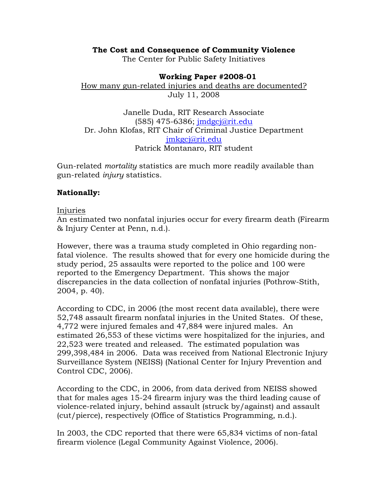## **The Cost and Consequence of Community Violence**

The Center for Public Safety Initiatives

#### **Working Paper #2008-01** How many gun-related injuries and deaths are documented? July 11, 2008

Janelle Duda, RIT Research Associate (585) 475-6386; jmdgcj@rit.edu Dr. John Klofas, RIT Chair of Criminal Justice Department jmkgcj@rit.edu Patrick Montanaro, RIT student

Gun-related *mortality* statistics are much more readily available than gun-related *injury* statistics.

## **Nationally:**

#### Injuries

An estimated two nonfatal injuries occur for every firearm death (Firearm & Injury Center at Penn, n.d.).

However, there was a trauma study completed in Ohio regarding nonfatal violence. The results showed that for every one homicide during the study period, 25 assaults were reported to the police and 100 were reported to the Emergency Department. This shows the major discrepancies in the data collection of nonfatal injuries (Pothrow-Stith, 2004, p. 40).

According to CDC, in 2006 (the most recent data available), there were 52,748 assault firearm nonfatal injuries in the United States. Of these, 4,772 were injured females and 47,884 were injured males. An estimated 26,553 of these victims were hospitalized for the injuries, and 22,523 were treated and released. The estimated population was 299,398,484 in 2006. Data was received from National Electronic Injury Surveillance System (NEISS) (National Center for Injury Prevention and Control CDC, 2006).

According to the CDC, in 2006, from data derived from NEISS showed that for males ages 15-24 firearm injury was the third leading cause of violence-related injury, behind assault (struck by/against) and assault (cut/pierce), respectively (Office of Statistics Programming, n.d.).

In 2003, the CDC reported that there were 65,834 victims of non-fatal firearm violence (Legal Community Against Violence, 2006).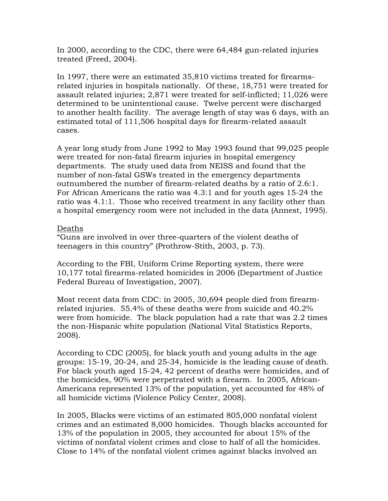In 2000, according to the CDC, there were 64,484 gun-related injuries treated (Freed, 2004).

In 1997, there were an estimated 35,810 victims treated for firearmsrelated injuries in hospitals nationally. Of these, 18,751 were treated for assault related injuries; 2,871 were treated for self-inflicted; 11,026 were determined to be unintentional cause. Twelve percent were discharged to another health facility. The average length of stay was 6 days, with an estimated total of 111,506 hospital days for firearm-related assault cases.

A year long study from June 1992 to May 1993 found that 99,025 people were treated for non-fatal firearm injuries in hospital emergency departments. The study used data from NEISS and found that the number of non-fatal GSWs treated in the emergency departments outnumbered the number of firearm-related deaths by a ratio of 2.6:1. For African Americans the ratio was 4.3:1 and for youth ages 15-24 the ratio was 4.1:1. Those who received treatment in any facility other than a hospital emergency room were not included in the data (Annest, 1995).

# Deaths

"Guns are involved in over three-quarters of the violent deaths of teenagers in this country" (Prothrow-Stith, 2003, p. 73).

According to the FBI, Uniform Crime Reporting system, there were 10,177 total firearms-related homicides in 2006 (Department of Justice Federal Bureau of Investigation, 2007).

Most recent data from CDC: in 2005, 30,694 people died from firearmrelated injuries. 55.4% of these deaths were from suicide and 40.2% were from homicide. The black population had a rate that was 2.2 times the non-Hispanic white population (National Vital Statistics Reports, 2008).

According to CDC (2005), for black youth and young adults in the age groups: 15-19, 20-24, and 25-34, homicide is the leading cause of death. For black youth aged 15-24, 42 percent of deaths were homicides, and of the homicides, 90% were perpetrated with a firearm. In 2005, African-Americans represented 13% of the population, yet accounted for 48% of all homicide victims (Violence Policy Center, 2008).

In 2005, Blacks were victims of an estimated 805,000 nonfatal violent crimes and an estimated 8,000 homicides. Though blacks accounted for 13% of the population in 2005, they accounted for about 15% of the victims of nonfatal violent crimes and close to half of all the homicides. Close to 14% of the nonfatal violent crimes against blacks involved an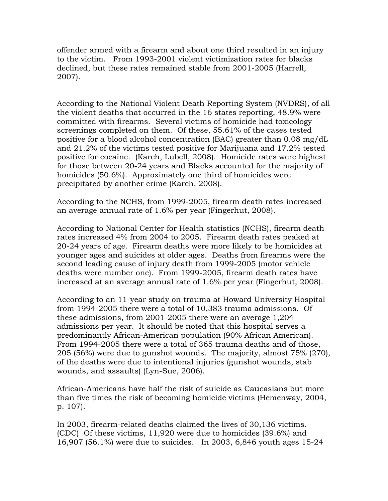offender armed with a firearm and about one third resulted in an injury to the victim. From 1993-2001 violent victimization rates for blacks declined, but these rates remained stable from 2001-2005 (Harrell, 2007).

According to the National Violent Death Reporting System (NVDRS), of all the violent deaths that occurred in the 16 states reporting, 48.9% were committed with firearms. Several victims of homicide had toxicology screenings completed on them. Of these, 55.61% of the cases tested positive for a blood alcohol concentration (BAC) greater than 0.08 mg/dL and 21.2% of the victims tested positive for Marijuana and 17.2% tested positive for cocaine. (Karch, Lubell, 2008). Homicide rates were highest for those between 20-24 years and Blacks accounted for the majority of homicides (50.6%). Approximately one third of homicides were precipitated by another crime (Karch, 2008).

According to the NCHS, from 1999-2005, firearm death rates increased an average annual rate of 1.6% per year (Fingerhut, 2008).

According to National Center for Health statistics (NCHS), firearm death rates increased 4% from 2004 to 2005. Firearm death rates peaked at 20-24 years of age. Firearm deaths were more likely to be homicides at younger ages and suicides at older ages. Deaths from firearms were the second leading cause of injury death from 1999-2005 (motor vehicle deaths were number one). From 1999-2005, firearm death rates have increased at an average annual rate of 1.6% per year (Fingerhut, 2008).

According to an 11-year study on trauma at Howard University Hospital from 1994-2005 there were a total of 10,383 trauma admissions. Of these admissions, from 2001-2005 there were an average 1,204 admissions per year. It should be noted that this hospital serves a predominantly African-American population (90% African American). From 1994-2005 there were a total of 365 trauma deaths and of those, 205 (56%) were due to gunshot wounds. The majority, almost 75% (270), of the deaths were due to intentional injuries (gunshot wounds, stab wounds, and assaults) (Lyn-Sue, 2006).

African-Americans have half the risk of suicide as Caucasians but more than five times the risk of becoming homicide victims (Hemenway, 2004, p. 107).

In 2003, firearm-related deaths claimed the lives of 30,136 victims. (CDC) Of these victims, 11,920 were due to homicides (39.6%) and 16,907 (56.1%) were due to suicides. In 2003, 6,846 youth ages 15-24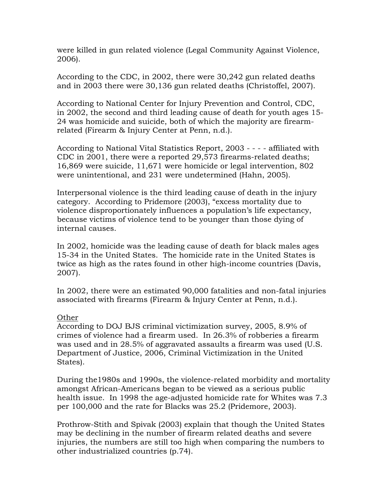were killed in gun related violence (Legal Community Against Violence, 2006).

According to the CDC, in 2002, there were 30,242 gun related deaths and in 2003 there were 30,136 gun related deaths (Christoffel, 2007).

According to National Center for Injury Prevention and Control, CDC, in 2002, the second and third leading cause of death for youth ages 15- 24 was homicide and suicide, both of which the majority are firearmrelated (Firearm & Injury Center at Penn, n.d.).

According to National Vital Statistics Report, 2003 - - - - affiliated with CDC in 2001, there were a reported 29,573 firearms-related deaths; 16,869 were suicide, 11,671 were homicide or legal intervention, 802 were unintentional, and 231 were undetermined (Hahn, 2005).

Interpersonal violence is the third leading cause of death in the injury category. According to Pridemore (2003), "excess mortality due to violence disproportionately influences a population's life expectancy, because victims of violence tend to be younger than those dying of internal causes.

In 2002, homicide was the leading cause of death for black males ages 15-34 in the United States. The homicide rate in the United States is twice as high as the rates found in other high-income countries (Davis, 2007).

In 2002, there were an estimated 90,000 fatalities and non-fatal injuries associated with firearms (Firearm & Injury Center at Penn, n.d.).

## **Other**

According to DOJ BJS criminal victimization survey, 2005, 8.9% of crimes of violence had a firearm used. In 26.3% of robberies a firearm was used and in 28.5% of aggravated assaults a firearm was used (U.S. Department of Justice, 2006, Criminal Victimization in the United States).

During the1980s and 1990s, the violence-related morbidity and mortality amongst African-Americans began to be viewed as a serious public health issue. In 1998 the age-adjusted homicide rate for Whites was 7.3 per 100,000 and the rate for Blacks was 25.2 (Pridemore, 2003).

Prothrow-Stith and Spivak (2003) explain that though the United States may be declining in the number of firearm related deaths and severe injuries, the numbers are still too high when comparing the numbers to other industrialized countries (p.74).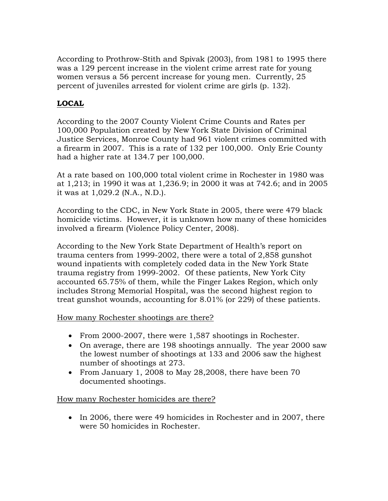According to Prothrow-Stith and Spivak (2003), from 1981 to 1995 there was a 129 percent increase in the violent crime arrest rate for young women versus a 56 percent increase for young men. Currently, 25 percent of juveniles arrested for violent crime are girls (p. 132).

# **LOCAL**

According to the 2007 County Violent Crime Counts and Rates per 100,000 Population created by New York State Division of Criminal Justice Services, Monroe County had 961 violent crimes committed with a firearm in 2007. This is a rate of 132 per 100,000. Only Erie County had a higher rate at 134.7 per 100,000.

At a rate based on 100,000 total violent crime in Rochester in 1980 was at 1,213; in 1990 it was at 1,236.9; in 2000 it was at 742.6; and in 2005 it was at 1,029.2 (N.A., N.D.).

According to the CDC, in New York State in 2005, there were 479 black homicide victims. However, it is unknown how many of these homicides involved a firearm (Violence Policy Center, 2008).

According to the New York State Department of Health's report on trauma centers from 1999-2002, there were a total of 2,858 gunshot wound inpatients with completely coded data in the New York State trauma registry from 1999-2002. Of these patients, New York City accounted 65.75% of them, while the Finger Lakes Region, which only includes Strong Memorial Hospital, was the second highest region to treat gunshot wounds, accounting for 8.01% (or 229) of these patients.

How many Rochester shootings are there?

- From 2000-2007, there were 1,587 shootings in Rochester.
- On average, there are 198 shootings annually. The year 2000 saw the lowest number of shootings at 133 and 2006 saw the highest number of shootings at 273.
- From January 1, 2008 to May 28,2008, there have been 70 documented shootings.

How many Rochester homicides are there?

• In 2006, there were 49 homicides in Rochester and in 2007, there were 50 homicides in Rochester.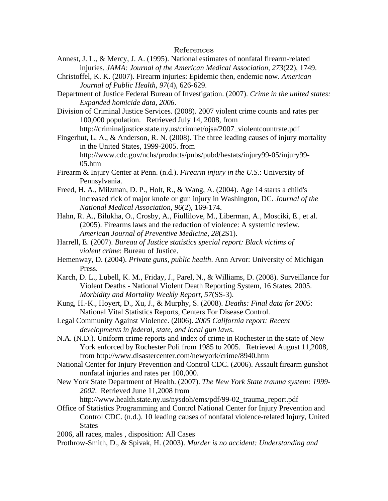#### References

- Annest, J. L., & Mercy, J. A. (1995). National estimates of nonfatal firearm-related injuries. *JAMA: Journal of the American Medical Association, 273*(22), 1749.
- Christoffel, K. K. (2007). Firearm injuries: Epidemic then, endemic now. *American Journal of Public Health, 97*(4), 626-629.

Department of Justice Federal Bureau of Investigation. (2007). *Crime in the united states: Expanded homicide data, 2006*.

Division of Criminal Justice Services. (2008). 2007 violent crime counts and rates per 100,000 population. Retrieved July 14, 2008, from http://criminaljustice.state.ny.us/crimnet/ojsa/2007\_violentcountrate.pdf

Fingerhut, L. A., & Anderson, R. N. (2008). The three leading causes of injury mortality in the United States, 1999-2005. from http://www.cdc.gov/nchs/products/pubs/pubd/hestats/injury99-05/injury99-  $05.htm$ 

Firearm & Injury Center at Penn. (n.d.). *Firearm injury in the U.S.*: University of Pennsylvania.

Freed, H. A., Milzman, D. P., Holt, R., & Wang, A. (2004). Age 14 starts a child's increased rick of major knofe or gun injury in Washington, DC. *Journal of the National Medical Association, 96*(2), 169-174.

Hahn, R. A., Bilukha, O., Crosby, A., Fiullilove, M., Liberman, A., Mosciki, E., et al. (2005). Firearms laws and the reduction of violence: A systemic review. *American Journal of Preventive Medicine, 28*(2S1).

- Harrell, E. (2007). *Bureau of Justice statistics special report: Black victims of violent crime*: Bureau of Justice.
- Hemenway, D. (2004). *Private guns, public health*. Ann Arvor: University of Michigan Press.

Karch, D. L., Lubell, K. M., Friday, J., Parel, N., & Williams, D. (2008). Surveillance for Violent Deaths - National Violent Death Reporting System, 16 States, 2005. *Morbidity and Mortality Weekly Report, 57*(SS-3).

Kung, H.-K., Hoyert, D., Xu, J., & Murphy, S. (2008). *Deaths: Final data for 2005*: National Vital Statistics Reports, Centers For Disease Control.

Legal Community Against Violence. (2006). *2005 California report: Recent developments in federal, state, and local gun laws*.

N.A. (N.D.). Uniform crime reports and index of crime in Rochester in the state of New York enforced by Rochester Poli from 1985 to 2005. Retrieved August 11,2008, from http://www.disastercenter.com/newyork/crime/8940.htm

- National Center for Injury Prevention and Control CDC. (2006). Assault firearm gunshot nonfatal injuries and rates per 100,000.
- New York State Department of Health. (2007). *The New York State trauma system: 1999- 2002*. Retrieved June 11,2008 from

http://www.health.state.ny.us/nysdoh/ems/pdf/99-02\_trauma\_report.pdf

Office of Statistics Programming and Control National Center for Injury Prevention and Control CDC. (n.d.). 10 leading causes of nonfatal violence-related Injury, United **States** 

2006, all races, males , disposition: All Cases

Prothrow-Smith, D., & Spivak, H. (2003). *Murder is no accident: Understanding and*